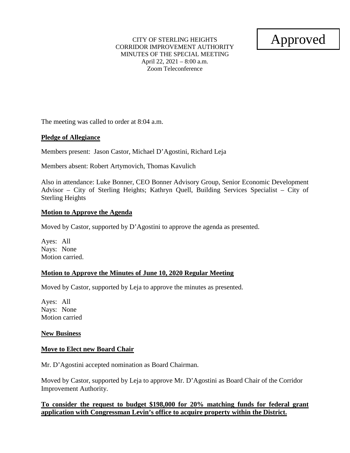CITY OF STERLING HEIGHTS CORRIDOR IMPROVEMENT AUTHORITY MINUTES OF THE SPECIAL MEETING April 22, 2021 – 8:00 a.m. Zoom Teleconference

Approved

The meeting was called to order at 8:04 a.m.

### **Pledge of Allegiance**

Members present: Jason Castor, Michael D'Agostini, Richard Leja

Members absent: Robert Artymovich, Thomas Kavulich

Also in attendance: Luke Bonner, CEO Bonner Advisory Group, Senior Economic Development Advisor – City of Sterling Heights; Kathryn Quell, Building Services Specialist – City of Sterling Heights

### **Motion to Approve the Agenda**

Moved by Castor, supported by D'Agostini to approve the agenda as presented.

Ayes: All Nays: None Motion carried.

### **Motion to Approve the Minutes of June 10, 2020 Regular Meeting**

Moved by Castor, supported by Leja to approve the minutes as presented.

Ayes: All Nays: None Motion carried

#### **New Business**

### **Move to Elect new Board Chair**

Mr. D'Agostini accepted nomination as Board Chairman.

Moved by Castor, supported by Leja to approve Mr. D'Agostini as Board Chair of the Corridor Improvement Authority.

### **To consider the request to budget \$198,000 for 20% matching funds for federal grant application with Congressman Levin's office to acquire property within the District.**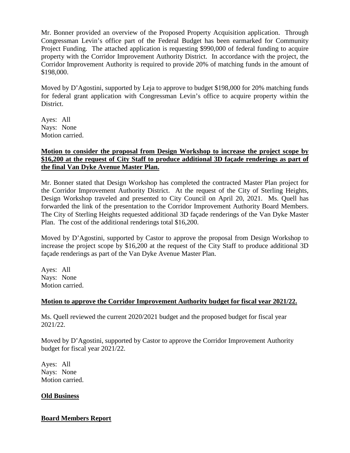Mr. Bonner provided an overview of the Proposed Property Acquisition application. Through Congressman Levin's office part of the Federal Budget has been earmarked for Community Project Funding. The attached application is requesting \$990,000 of federal funding to acquire property with the Corridor Improvement Authority District. In accordance with the project, the Corridor Improvement Authority is required to provide 20% of matching funds in the amount of \$198,000.

Moved by D'Agostini, supported by Leja to approve to budget \$198,000 for 20% matching funds for federal grant application with Congressman Levin's office to acquire property within the District.

Ayes: All Nays: None Motion carried.

### **Motion to consider the proposal from Design Workshop to increase the project scope by \$16,200 at the request of City Staff to produce additional 3D façade renderings as part of the final Van Dyke Avenue Master Plan.**

Mr. Bonner stated that Design Workshop has completed the contracted Master Plan project for the Corridor Improvement Authority District. At the request of the City of Sterling Heights, Design Workshop traveled and presented to City Council on April 20, 2021. Ms. Quell has forwarded the link of the presentation to the Corridor Improvement Authority Board Members. The City of Sterling Heights requested additional 3D façade renderings of the Van Dyke Master Plan. The cost of the additional renderings total \$16,200.

Moved by D'Agostini, supported by Castor to approve the proposal from Design Workshop to increase the project scope by \$16,200 at the request of the City Staff to produce additional 3D façade renderings as part of the Van Dyke Avenue Master Plan.

Ayes: All Nays: None Motion carried.

## **Motion to approve the Corridor Improvement Authority budget for fiscal year 2021/22.**

Ms. Quell reviewed the current 2020/2021 budget and the proposed budget for fiscal year 2021/22.

Moved by D'Agostini, supported by Castor to approve the Corridor Improvement Authority budget for fiscal year 2021/22.

Ayes: All Nays: None Motion carried.

### **Old Business**

## **Board Members Report**